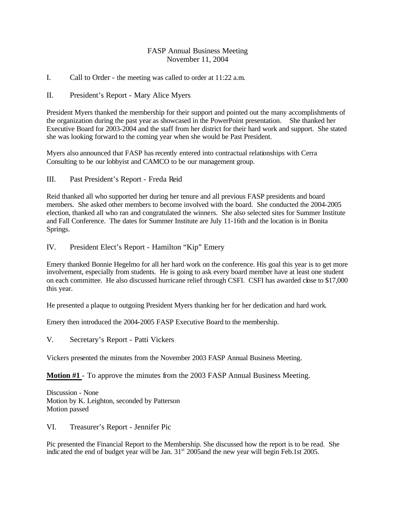## FASP Annual Business Meeting November 11, 2004

I. Call to Order - the meeting was called to order at 11:22 a.m.

II. President's Report - Mary Alice Myers

President Myers thanked the membership for their support and pointed out the many accomplishments of the organization during the past year as showcased in the PowerPoint presentation. She thanked her Executive Board for 2003-2004 and the staff from her district for their hard work and support. She stated she was looking forward to the coming year when she would be Past President.

Myers also announced that FASP has recently entered into contractual relationships with Cerra Consulting to be our lobbyist and CAMCO to be our management group.

III. Past President's Report - Freda Reid

Reid thanked all who supported her during her tenure and all previous FASP presidents and board members. She asked other members to become involved with the board. She conducted the 2004-2005 election, thanked all who ran and congratulated the winners. She also selected sites for Summer Institute and Fall Conference. The dates for Summer Institute are July 11-16th and the location is in Bonita Springs.

IV. President Elect's Report - Hamilton "Kip" Emery

Emery thanked Bonnie Hegelmo for all her hard work on the conference. His goal this year is to get more involvement, especially from students. He is going to ask every board member have at least one student on each committee. He also discussed hurricane relief through CSFI. CSFI has awarded close to \$17,000 this year.

He presented a plaque to outgoing President Myers thanking her for her dedication and hard work.

Emery then introduced the 2004-2005 FASP Executive Board to the membership.

V. Secretary's Report - Patti Vickers

Vickers presented the minutes from the November 2003 FASP Annual Business Meeting.

**Motion #1** - To approve the minutes from the 2003 FASP Annual Business Meeting.

Discussion - None Motion by K. Leighton, seconded by Patterson Motion passed

VI. Treasurer's Report - Jennifer Pic

Pic presented the Financial Report to the Membership. She discussed how the report is to be read. She indic ated the end of budget year will be Jan.  $31<sup>st</sup>$  2005 and the new year will begin Feb.1st 2005.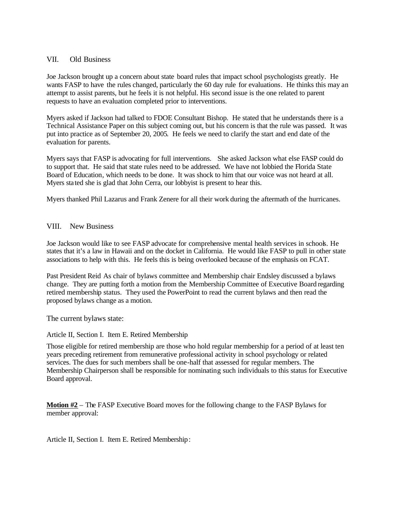## VII. Old Business

Joe Jackson brought up a concern about state board rules that impact school psychologists greatly. He wants FASP to have the rules changed, particularly the 60 day rule for evaluations. He thinks this may an attempt to assist parents, but he feels it is not helpful. His second issue is the one related to parent requests to have an evaluation completed prior to interventions.

Myers asked if Jackson had talked to FDOE Consultant Bishop. He stated that he understands there is a Technical Assistance Paper on this subject coming out, but his concern is that the rule was passed. It was put into practice as of September 20, 2005. He feels we need to clarify the start and end date of the evaluation for parents.

Myers says that FASP is advocating for full interventions. She asked Jackson what else FASP could do to support that. He said that state rules need to be addressed. We have not lobbied the Florida State Board of Education, which needs to be done. It was shock to him that our voice was not heard at all. Myers stated she is glad that John Cerra, our lobbyist is present to hear this.

Myers thanked Phil Lazarus and Frank Zenere for all their work during the aftermath of the hurricanes.

## VIII. New Business

Joe Jackson would like to see FASP advocate for comprehensive mental health services in schools. He states that it's a law in Hawaii and on the docket in California. He would like FASP to pull in other state associations to help with this. He feels this is being overlooked because of the emphasis on FCAT.

Past President Reid As chair of bylaws committee and Membership chair Endsley discussed a bylaws change. They are putting forth a motion from the Membership Committee of Executive Board regarding retired membership status. They used the PowerPoint to read the current bylaws and then read the proposed bylaws change as a motion.

The current bylaws state:

Article II, Section I. Item E. Retired Membership

Those eligible for retired membership are those who hold regular membership for a period of at least ten years preceding retirement from remunerative professional activity in school psychology or related services. The dues for such members shall be one-half that assessed for regular members. The Membership Chairperson shall be responsible for nominating such individuals to this status for Executive Board approval.

**Motion #2** – The FASP Executive Board moves for the following change to the FASP Bylaws for member approval:

Article II, Section I. Item E. Retired Membership: